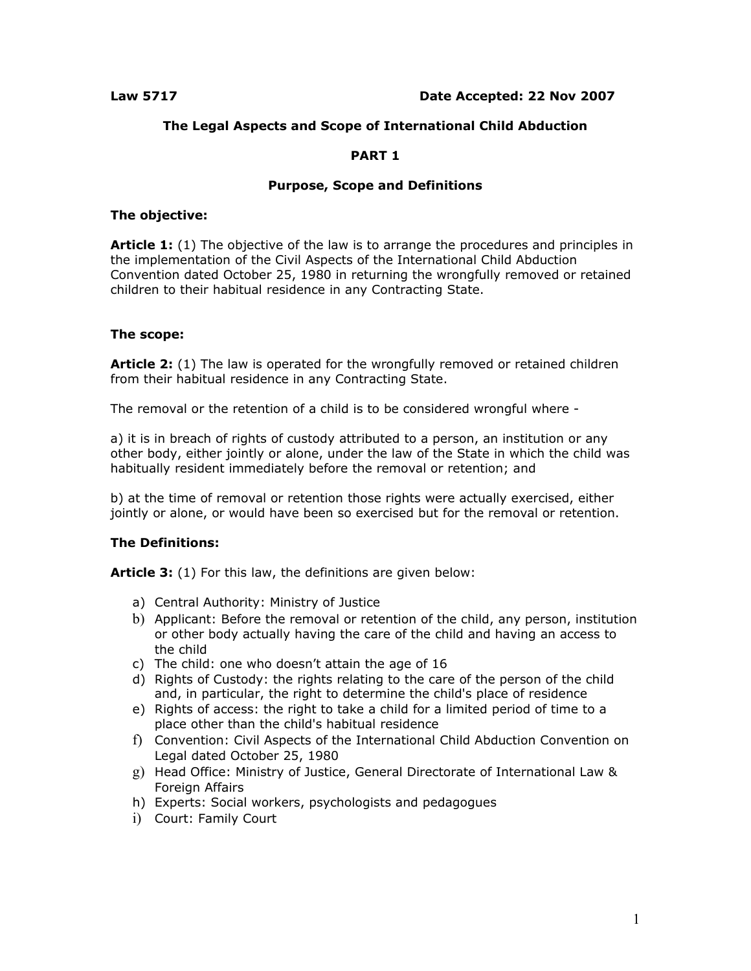# **The Legal Aspects and Scope of International Child Abduction**

# **PART 1**

## **Purpose, Scope and Definitions**

## **The objective:**

**Article 1:** (1) The objective of the law is to arrange the procedures and principles in the implementation of the Civil Aspects of the International Child Abduction Convention dated October 25, 1980 in returning the wrongfully removed or retained children to their habitual residence in any Contracting State.

# **The scope:**

Article 2: (1) The law is operated for the wrongfully removed or retained children from their habitual residence in any Contracting State.

The removal or the retention of a child is to be considered wrongful where -

a) it is in breach of rights of custody attributed to a person, an institution or any other body, either jointly or alone, under the law of the State in which the child was habitually resident immediately before the removal or retention; and

b) at the time of removal or retention those rights were actually exercised, either jointly or alone, or would have been so exercised but for the removal or retention.

# **The Definitions:**

**Article 3:** (1) For this law, the definitions are given below:

- a) Central Authority: Ministry of Justice
- b) Applicant: Before the removal or retention of the child, any person, institution or other body actually having the care of the child and having an access to the child
- c) The child: one who doesn't attain the age of 16
- d) Rights of Custody: the rights relating to the care of the person of the child and, in particular, the right to determine the child's place of residence
- e) Rights of access: the right to take a child for a limited period of time to a place other than the child's habitual residence
- f) Convention: Civil Aspects of the International Child Abduction Convention on Legal dated October 25, 1980
- g) Head Office: Ministry of Justice, General Directorate of International Law & Foreign Affairs
- h) Experts: Social workers, psychologists and pedagogues
- i) Court: Family Court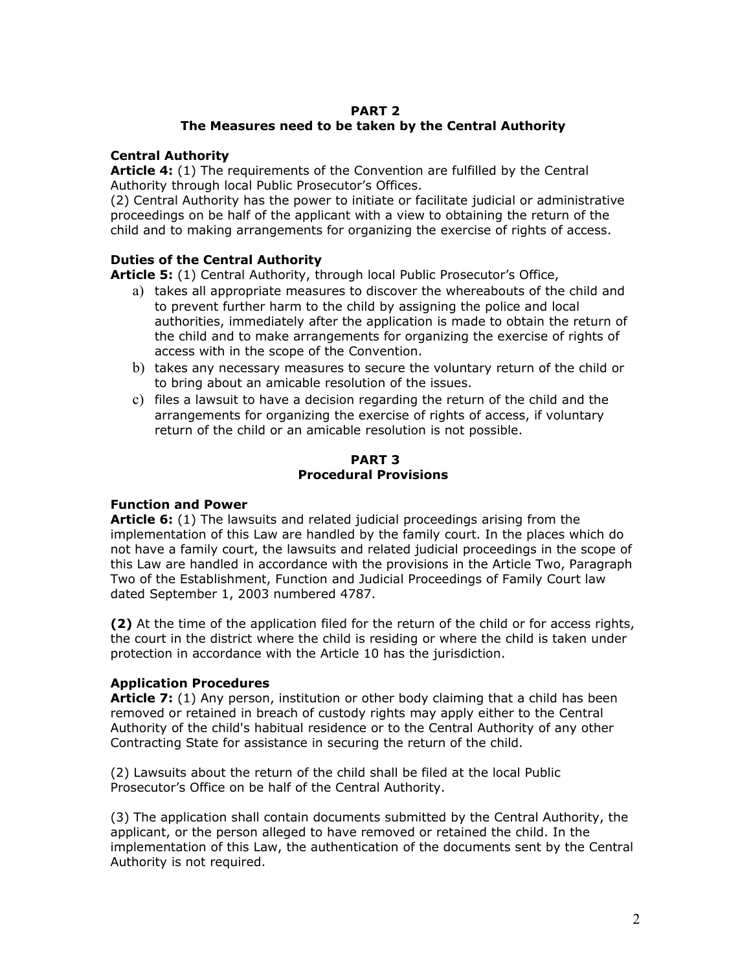# **PART 2**

# **The Measures need to be taken by the Central Authority**

# **Central Authority**

**Article 4:** (1) The requirements of the Convention are fulfilled by the Central Authority through local Public Prosecutor's Offices.

(2) Central Authority has the power to initiate or facilitate judicial or administrative proceedings on be half of the applicant with a view to obtaining the return of the child and to making arrangements for organizing the exercise of rights of access.

# **Duties of the Central Authority**

**Article 5:** (1) Central Authority, through local Public Prosecutor's Office,

- a) takes all appropriate measures to discover the whereabouts of the child and to prevent further harm to the child by assigning the police and local authorities, immediately after the application is made to obtain the return of the child and to make arrangements for organizing the exercise of rights of access with in the scope of the Convention.
- b) takes any necessary measures to secure the voluntary return of the child or to bring about an amicable resolution of the issues.
- c) files a lawsuit to have a decision regarding the return of the child and the arrangements for organizing the exercise of rights of access, if voluntary return of the child or an amicable resolution is not possible.

## **PART 3 Procedural Provisions**

# **Function and Power**

**Article 6:** (1) The lawsuits and related judicial proceedings arising from the implementation of this Law are handled by the family court. In the places which do not have a family court, the lawsuits and related judicial proceedings in the scope of this Law are handled in accordance with the provisions in the Article Two, Paragraph Two of the Establishment, Function and Judicial Proceedings of Family Court law dated September 1, 2003 numbered 4787.

**(2)** At the time of the application filed for the return of the child or for access rights, the court in the district where the child is residing or where the child is taken under protection in accordance with the Article 10 has the jurisdiction.

# **Application Procedures**

**Article 7:** (1) Any person, institution or other body claiming that a child has been removed or retained in breach of custody rights may apply either to the Central Authority of the child's habitual residence or to the Central Authority of any other Contracting State for assistance in securing the return of the child.

(2) Lawsuits about the return of the child shall be filed at the local Public Prosecutor's Office on be half of the Central Authority.

(3) The application shall contain documents submitted by the Central Authority, the applicant, or the person alleged to have removed or retained the child. In the implementation of this Law, the authentication of the documents sent by the Central Authority is not required.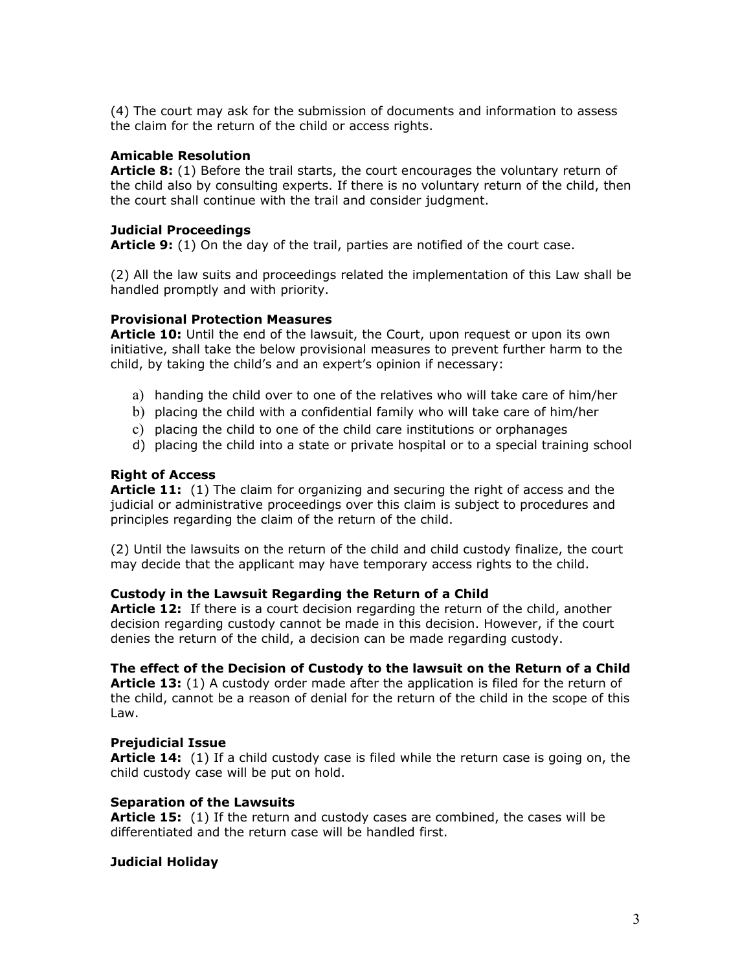(4) The court may ask for the submission of documents and information to assess the claim for the return of the child or access rights.

### **Amicable Resolution**

**Article 8:** (1) Before the trail starts, the court encourages the voluntary return of the child also by consulting experts. If there is no voluntary return of the child, then the court shall continue with the trail and consider judgment.

#### **Judicial Proceedings**

**Article 9:** (1) On the day of the trail, parties are notified of the court case.

(2) All the law suits and proceedings related the implementation of this Law shall be handled promptly and with priority.

## **Provisional Protection Measures**

**Article 10:** Until the end of the lawsuit, the Court, upon request or upon its own initiative, shall take the below provisional measures to prevent further harm to the child, by taking the child's and an expert's opinion if necessary:

- a) handing the child over to one of the relatives who will take care of him/her
- b) placing the child with a confidential family who will take care of him/her
- c) placing the child to one of the child care institutions or orphanages
- d) placing the child into a state or private hospital or to a special training school

### **Right of Access**

**Article 11:** (1) The claim for organizing and securing the right of access and the judicial or administrative proceedings over this claim is subject to procedures and principles regarding the claim of the return of the child.

(2) Until the lawsuits on the return of the child and child custody finalize, the court may decide that the applicant may have temporary access rights to the child.

#### **Custody in the Lawsuit Regarding the Return of a Child**

**Article 12:** If there is a court decision regarding the return of the child, another decision regarding custody cannot be made in this decision. However, if the court denies the return of the child, a decision can be made regarding custody.

#### **The effect of the Decision of Custody to the lawsuit on the Return of a Child**

**Article 13:** (1) A custody order made after the application is filed for the return of the child, cannot be a reason of denial for the return of the child in the scope of this Law.

#### **Prejudicial Issue**

**Article 14:** (1) If a child custody case is filed while the return case is going on, the child custody case will be put on hold.

#### **Separation of the Lawsuits**

**Article 15:** (1) If the return and custody cases are combined, the cases will be differentiated and the return case will be handled first.

#### **Judicial Holiday**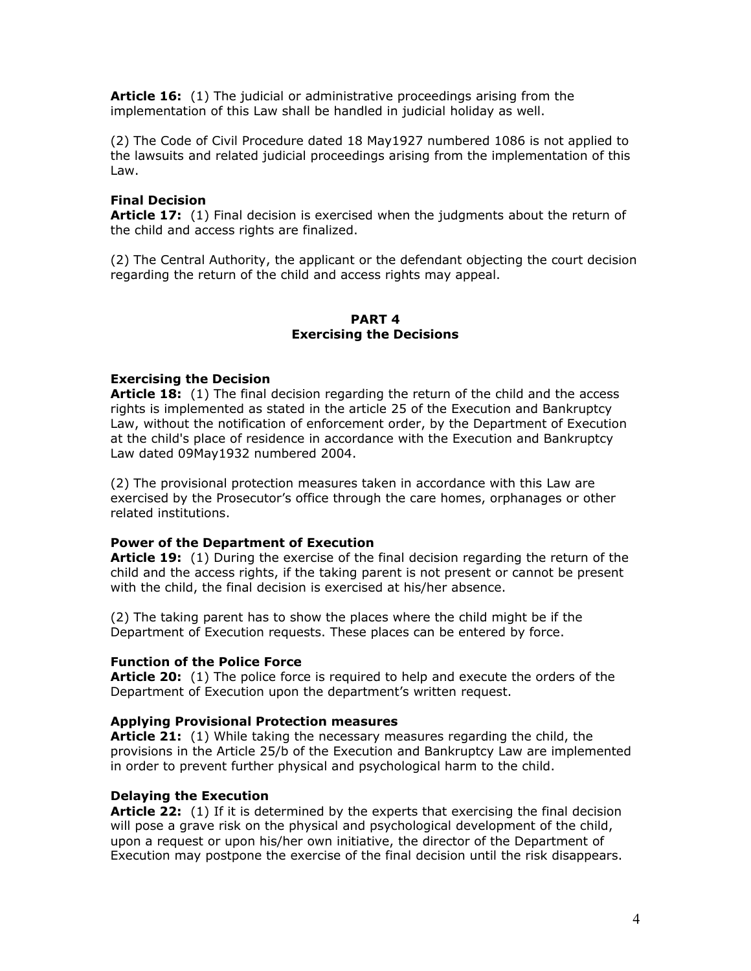**Article 16:** (1) The judicial or administrative proceedings arising from the implementation of this Law shall be handled in judicial holiday as well.

(2) The Code of Civil Procedure dated 18 May1927 numbered 1086 is not applied to the lawsuits and related judicial proceedings arising from the implementation of this Law.

## **Final Decision**

**Article 17:** (1) Final decision is exercised when the judgments about the return of the child and access rights are finalized.

(2) The Central Authority, the applicant or the defendant objecting the court decision regarding the return of the child and access rights may appeal.

## **PART 4 Exercising the Decisions**

## **Exercising the Decision**

**Article 18:** (1) The final decision regarding the return of the child and the access rights is implemented as stated in the article 25 of the Execution and Bankruptcy Law, without the notification of enforcement order, by the Department of Execution at the child's place of residence in accordance with the Execution and Bankruptcy Law dated 09May1932 numbered 2004.

(2) The provisional protection measures taken in accordance with this Law are exercised by the Prosecutor's office through the care homes, orphanages or other related institutions.

## **Power of the Department of Execution**

**Article 19:** (1) During the exercise of the final decision regarding the return of the child and the access rights, if the taking parent is not present or cannot be present with the child, the final decision is exercised at his/her absence.

(2) The taking parent has to show the places where the child might be if the Department of Execution requests. These places can be entered by force.

#### **Function of the Police Force**

**Article 20:** (1) The police force is required to help and execute the orders of the Department of Execution upon the department's written request.

#### **Applying Provisional Protection measures**

**Article 21:** (1) While taking the necessary measures regarding the child, the provisions in the Article 25/b of the Execution and Bankruptcy Law are implemented in order to prevent further physical and psychological harm to the child.

## **Delaying the Execution**

**Article 22:** (1) If it is determined by the experts that exercising the final decision will pose a grave risk on the physical and psychological development of the child, upon a request or upon his/her own initiative, the director of the Department of Execution may postpone the exercise of the final decision until the risk disappears.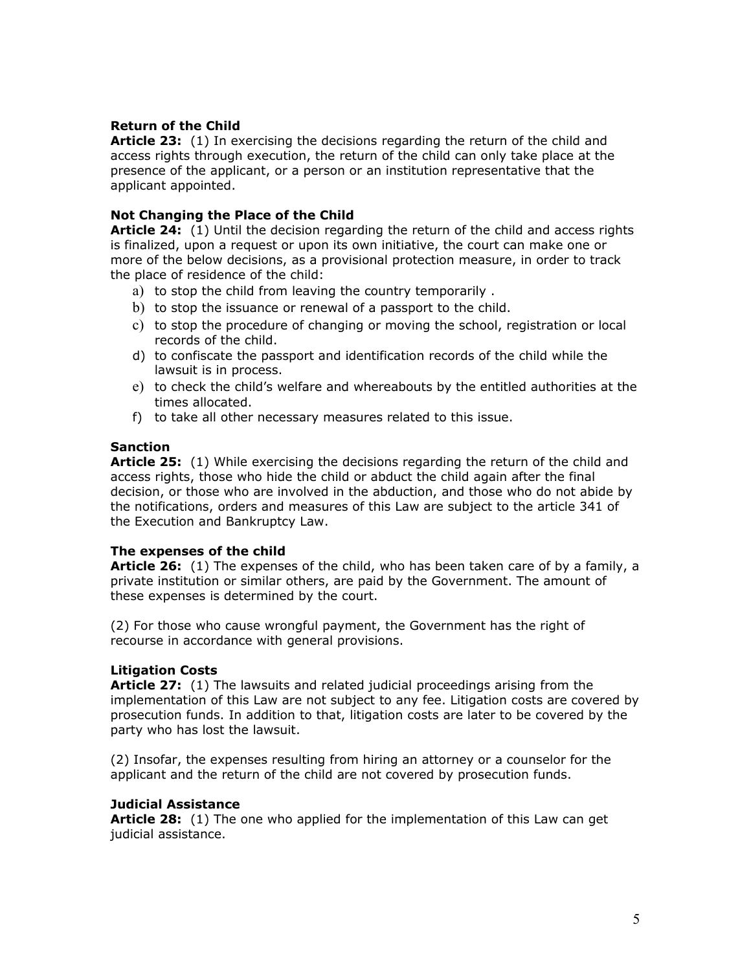## **Return of the Child**

**Article 23:** (1) In exercising the decisions regarding the return of the child and access rights through execution, the return of the child can only take place at the presence of the applicant, or a person or an institution representative that the applicant appointed.

## **Not Changing the Place of the Child**

**Article 24:** (1) Until the decision regarding the return of the child and access rights is finalized, upon a request or upon its own initiative, the court can make one or more of the below decisions, as a provisional protection measure, in order to track the place of residence of the child:

- a) to stop the child from leaving the country temporarily .
- b) to stop the issuance or renewal of a passport to the child.
- c) to stop the procedure of changing or moving the school, registration or local records of the child.
- d) to confiscate the passport and identification records of the child while the lawsuit is in process.
- e) to check the child's welfare and whereabouts by the entitled authorities at the times allocated.
- f) to take all other necessary measures related to this issue.

## **Sanction**

**Article 25:** (1) While exercising the decisions regarding the return of the child and access rights, those who hide the child or abduct the child again after the final decision, or those who are involved in the abduction, and those who do not abide by the notifications, orders and measures of this Law are subject to the article 341 of the Execution and Bankruptcy Law.

## **The expenses of the child**

**Article 26:** (1) The expenses of the child, who has been taken care of by a family, a private institution or similar others, are paid by the Government. The amount of these expenses is determined by the court.

(2) For those who cause wrongful payment, the Government has the right of recourse in accordance with general provisions.

## **Litigation Costs**

**Article 27:** (1) The lawsuits and related judicial proceedings arising from the implementation of this Law are not subject to any fee. Litigation costs are covered by prosecution funds. In addition to that, litigation costs are later to be covered by the party who has lost the lawsuit.

(2) Insofar, the expenses resulting from hiring an attorney or a counselor for the applicant and the return of the child are not covered by prosecution funds.

## **Judicial Assistance**

**Article 28:** (1) The one who applied for the implementation of this Law can get judicial assistance.